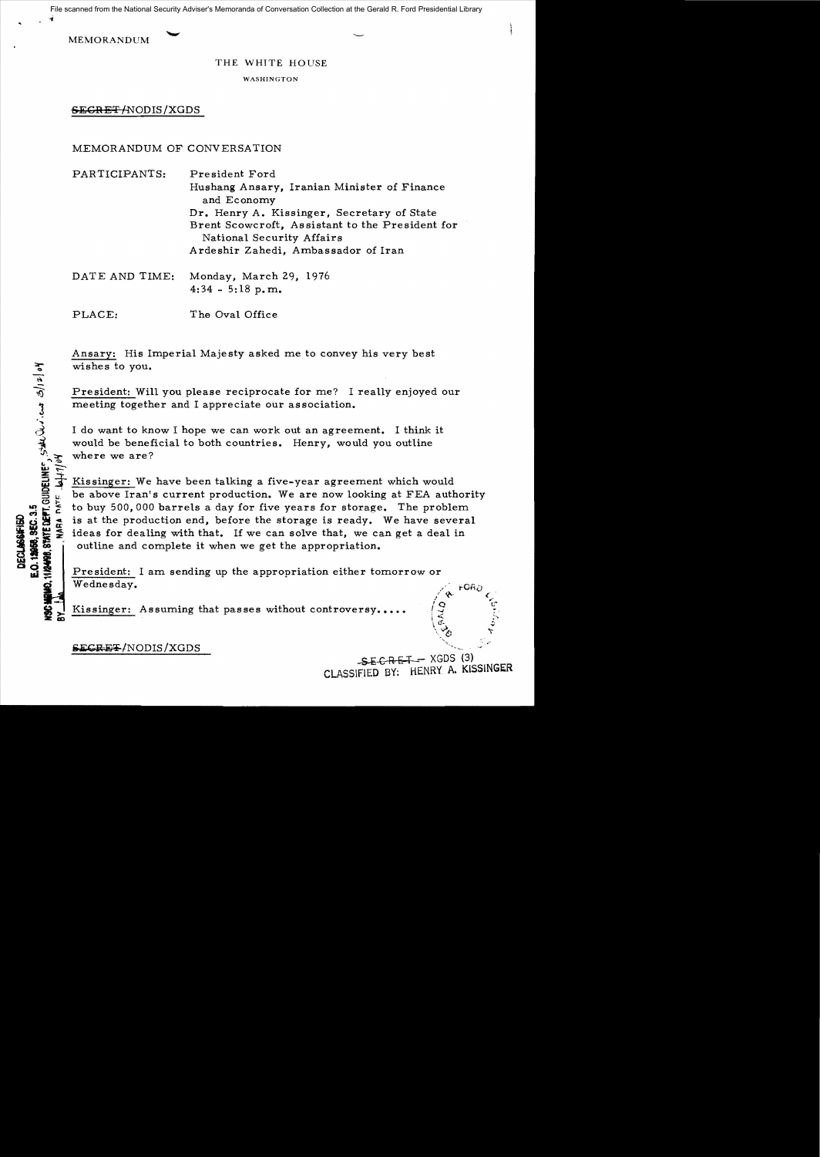File scanned from the National Security Adviser's Memoranda of Conversation Collection at the Gerald R. Ford Presidential Library

MEMORANDUM

...

 $\tilde{\mathbf{r}} \neq \mathbf{r}$ 

THE WHITE HOUSE

**WASHINGTON** 

SECR ET /NODIS /XGDS

MEMORANDUM OF CONVERSATION

PARTICIPANTS: President Ford Hushang Ansary, Iranian Minister of Finance and Economy Dr. Henry A. Kissinger, Secretary of State Brent Scowcroft, Assistant to the President for National Security Affairs Ardeshir Zahedi, Ambassador of Iran

DATE AND TIME: Monday, March 29, 1976  $4:34 - 5:18$  p.m.

PLACE: The Oval Office

Ansary: His Imperial Majesty asked me to convey his very best wishes to you.

President: Will you please reciprocate for me? I really enjoyed our meeting together and I appreciate our association.

I do want to know I hope we can work out an agreement. I think it would be beneficial to both countries. Henry, would you outline  $\widehat{V}$   $\rightarrow$  where we are?

where we are?<br>  $\frac{1}{\sqrt{2}}$  Kissinger: We<br>
be above Iran's<br>
to buy 500,000 Kissinger: We have been talking a five-year agreement which would be above Iran's current production. We are now looking at FEA authority :  $\frac{1}{2}$  to buy 500,000 barrels a day for five years for storage. The problem<br>  $\frac{1}{2}$  is at the production end, before the storage is ready. We have several<br>  $\frac{1}{2}$  ideas for dealing with that. If we can solve th is at the production end, before the storage is ready. We have several He is at the production end, before the storage is ready. We have several<br> $\frac{10}{25}$  ideas for dealing with that. If we can solve that, we can get a deal in 11. It is a the production end, before the storage is ready. We have sever<br>  $\frac{1}{2}$  is at the production end, before the storage is ready. We have sever<br>  $\frac{1}{2}$  ideas for dealing with that. If we can solve that, we ca outline and complete it when we get the appropriation. where is at the production end, before the storage is ready. We have sending  $\frac{1}{2}$  ideas for dealing with that. If we can solve that, we can get a des<br> **EXECULTS** ideas for dealing with that. If we can solve that, we c

 $\frac{1}{\sqrt{1 + \frac{1}{\sqrt{1 + \frac{1}{\sqrt{1 + \frac{1}{\sqrt{1 + \frac{1}{\sqrt{1 + \frac{1}{\sqrt{1 + \frac{1}{\sqrt{1 + \frac{1}{\sqrt{1 + \frac{1}{\sqrt{1 + \frac{1}{\sqrt{1 + \frac{1}{\sqrt{1 + \frac{1}{\sqrt{1 + \frac{1}{\sqrt{1 + \frac{1}{\sqrt{1 + \frac{1}{\sqrt{1 + \frac{1}{\sqrt{1 + \frac{1}{\sqrt{1 + \frac{1}{\sqrt{1 + \frac{1}{\sqrt{1 + \frac{1}{\sqrt{1 + \frac{1}{\sqrt{1 + \frac{1}{\sqrt{1 +$ 

Kissinger: Assuming that passes without controversy.

**SECRET/NODIS/XGDS** 

 $-SE$  GRET  $-$  XGDS (3) CLASSIFiED BY: HENRY A. KISSINGER

 $\angle$  .  $\angle$  .  $\angle$ 

~<  $\set{\vec{\sigma}}$  $\vee_{\mathcal{O}}$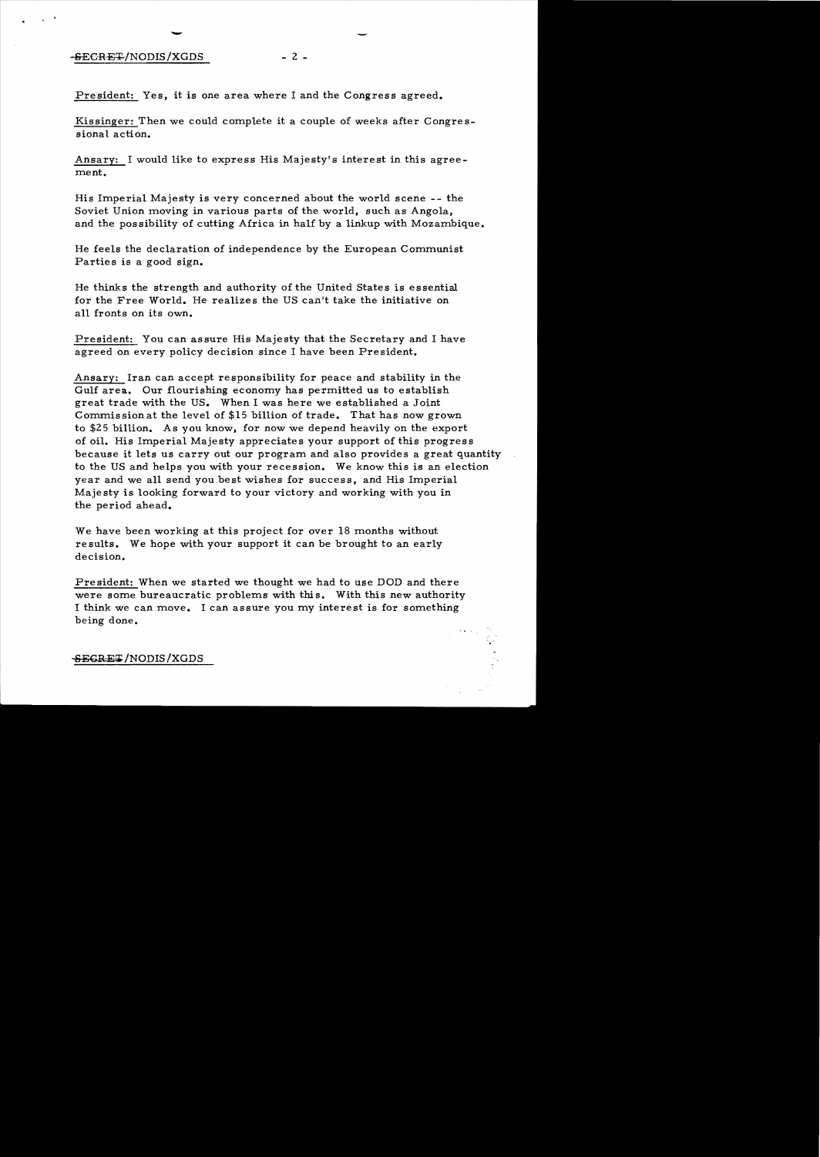## -SECRET/NODIS/XGDS

-

 $- 2 -$ 

President: Yes. it is one area where I and the Congress agreed.

Kissinger: Then we could complete it a couple of weeks after Congressional action.

Ansary: I would like to express His Majesty's interest in this agreement.

His Imperial Majesty is very concerned about the world scene -- the Soviet Union moving in various parts of the world. such as Angola. and the possibility of cutting Africa in half by a linkup with Mozambique.

He feels the declaration of independence by the European Communist Parties is a good sign.

He thinks the strength and authority of the United States is essential for the Free World. He realizes the US can't take the initiative on all fronts on its own.

President: You can assure His Majesty that the Secretary and I have agreed on every policy decision since I have been President.

Ansary: Iran can accept responsibility for peace and stability in the Gulf area. Our flourishing economy has permitted us to establish great trade with the US. When I was here we established a Joint Commissionat the level of \$15 billion of trade. That has now grown to \$25 billion. As you know, for now we depend heavily on the export of oil. His Imperial Majesty appreciates your support of this progress because it lets us carry out our program and also provides a great quantity to the US and helps you with your recession. We know this is an election year and we all send you best wishes for success, and His Imperial Maje sty is looking forward to your victory and working with you in the period ahead.

We have been working at this project for over 18 months without results. We hope with your support it can be brought to an early decision.

Pre sident: When we started we thought we had to use DOD and there were some bureaucratic problems with this. With this new authority I think we can move. I can assure you my interest is for something being done.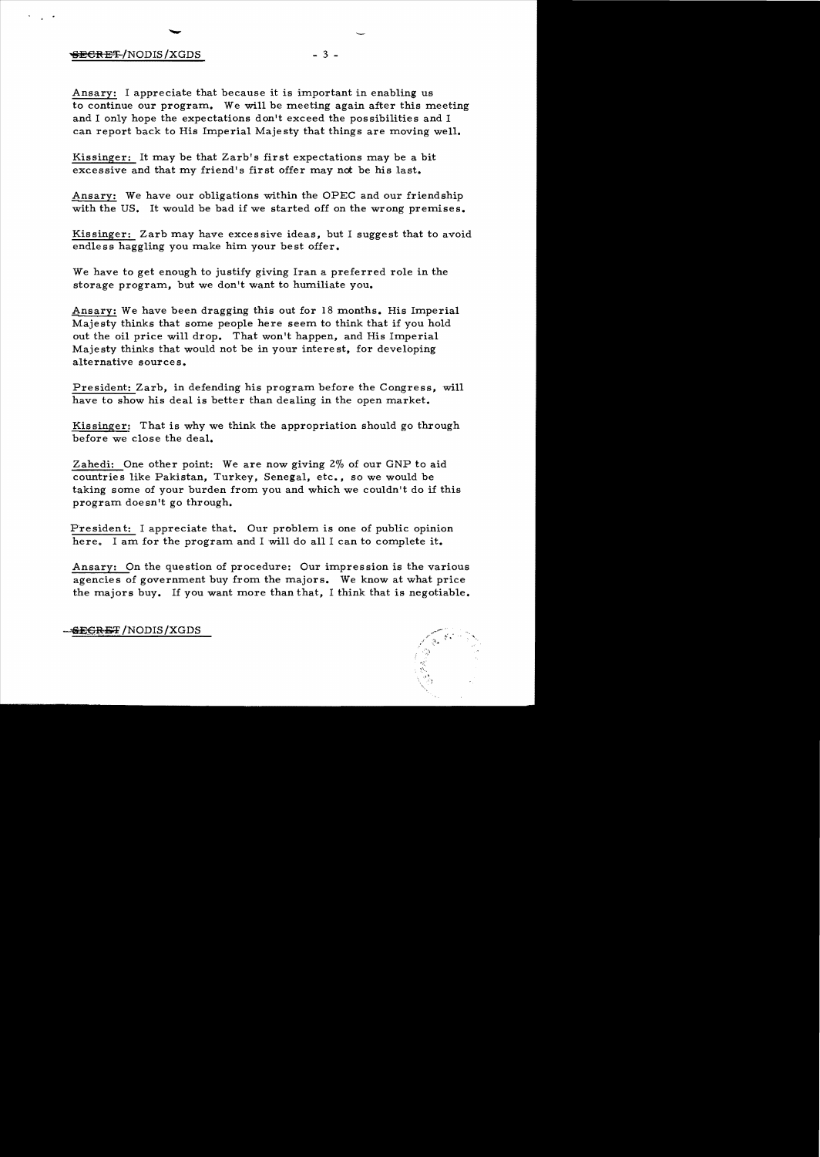## $-3 -$

Ansary: I appreciate that because it is important in enabling us to continue our program. We will be meeting again after this meeting and I only hope the expectations don't exceed the possibilities and I can report back to His Imperial Majesty that things are moving well.

Kissinger: It may be that Zarb's first expectations may be a bit excessive and that my friend's first offer may not be his last.

Ansary: We have our obligations within the OPEC and our friendship with the US. It would be bad if we started off on the wrong premises.

Kissinger: Zarb may have excessive ideas, but I suggest that to avoid endless haggling you make him your best offer.

We have to get enough to justify giving Iran a preferred role in the storage program, but we don't want to humiliate you•

Ansary: We have been dragging this out for 18 months. His Imperial Majesty thinks that some people here seem to think that if you hold out the oil price will drop. That won't happen, and His Imperial Majesty thinks that would not be in your interest, for developing alternative sources.

President: Zarb, in defending his program before the Congress, will have to show his deal is better than dealing in the open market.

Kissinger: That is why we think the appropriation should go through before we close the deal.

Zahedi: One other point: We are now giving 2% of our GNP to aid countries like Pakistan, Turkey, Senegal, etc., so we would be taking some of your burden from you and which we couldn't do if this program doe sn't go through.

Fresident: I appreciate that. Our problem is one of public opinion here. I am for the program and I will do all I can to complete it.

Ansary: On the question of procedure: Our impression is the various agencies of government buy from the majors. We know at what price the majors buy. If you want more than that, I think that is negotiable.

"

<del>SECRET</del>/NODIS/XGDS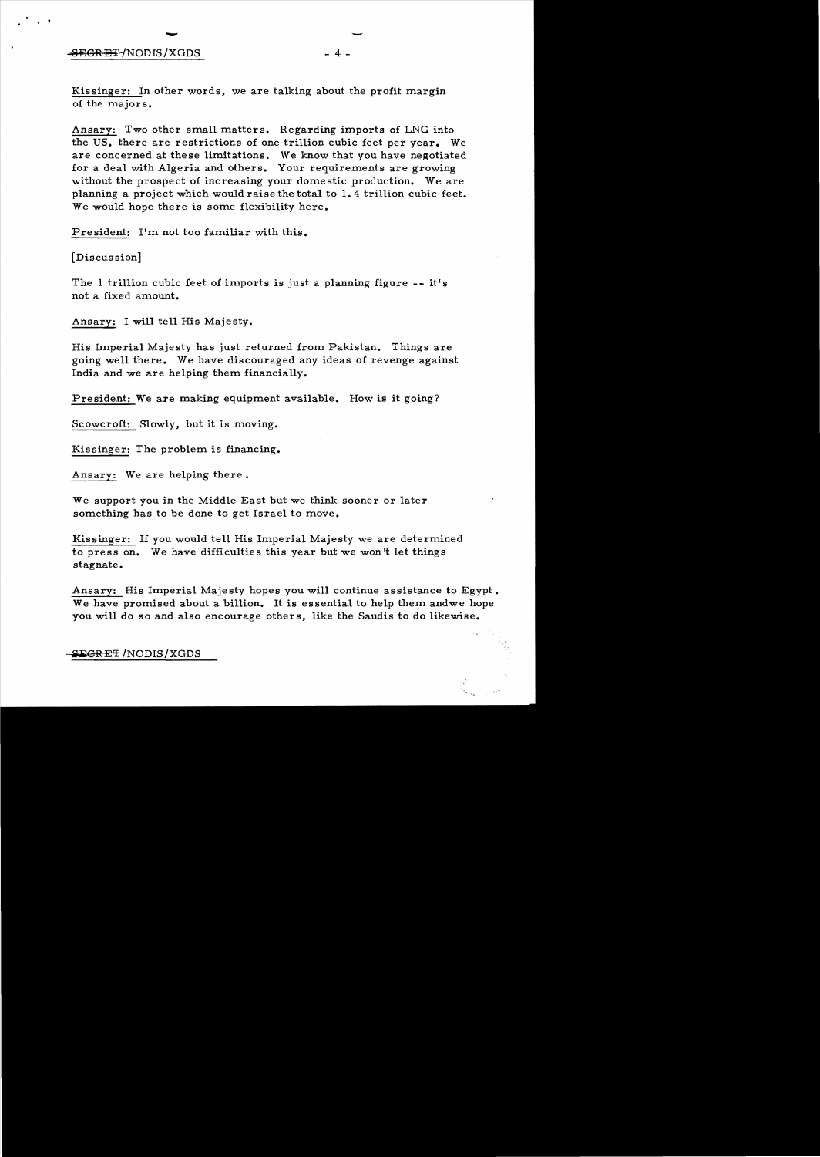## SEGRET/NODIS/XGDS

-- 4 -

Kis singer: In other words, we are talking about the profit margin of the majors.

Ansary: Two other small matters. Regarding imports of LNG into the US, there are restrictions of one trillion cubic feet per year. We are concerned at these limitations. We know that you have negotiated for a deal with Algeria and others. Your requirements are growing without the prospect of increasing your domestic production. We are planning a project which would raisethe total to 1.4 trillion cubic feet. We would hope there is some flexibility here.

President: I'm not too familiar with this.

[Discussion]

The 1 trillion cubic feet of imports is just a planning figure  $--$  it's not a fixed amount.

Ansary: I will tell His Majesty.

His Imperial Maje sty has just returned from Pakistan. Things are going well there. We have discouraged any ideas of revenge against India and we are helping them financially.

President: We are making equipment available. How is it going?

Scowcroft: Slowly, but it is moving.

Kissinger: The problem is financing.

Ansary: We are helping there.

We support you in the Middle East but we think sooner or later something has to be done to get Israel to move.

Kissinger: If you would tell His Imperial Majesty we are determined to press on. We have difficulties this year but we won't let things stagnate.

Ansary: His Imperial Majesty hopes you will continue assistance to Egypt. We have promised about a billion. It is essential to help them andwe hope you will do so and also encourage others, like the Saudis to do likewise.

~SEGRET /NODIS / XGDS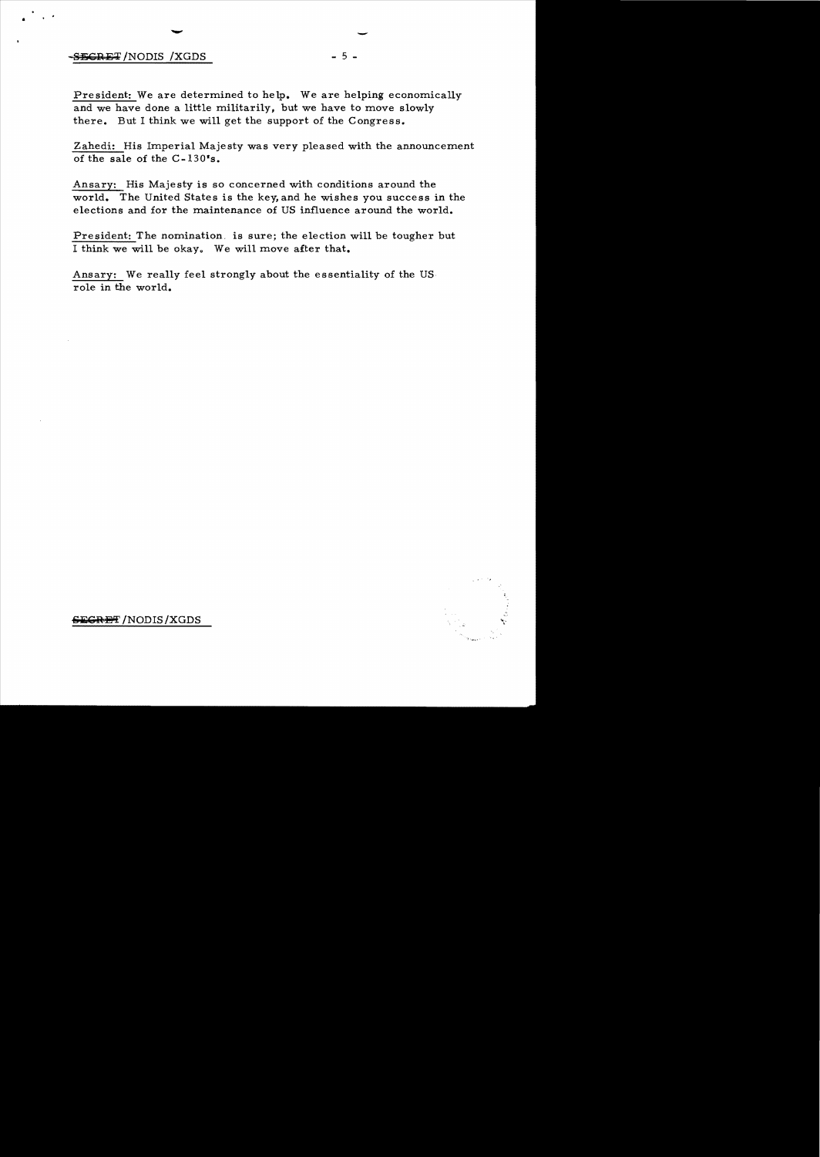## $-$ <del>SECRET</del>/NODIS/XGDS - 5  $-$

-

..

President: We are determined to help. We are helping economically and we have done a little militarily, but we have to move slowly there. But I think we will get the support of the Congress.

Zahedi: His Imperial Majesty was very pleased with the announcement of the sale of the C-130's.

Ansary: His Majesty is so concerned with conditions around the world. The United States is the key, and he wishes you success in the elections and for the maintenance of US influence around the world.

President: The nomination. is sure; the election will be tougher but I think we will be okay. We will move after that.

Ansary: We really feel strongly about the essentiality of the US role in the world.



<del>EGRET</del> /NODIS/XGDS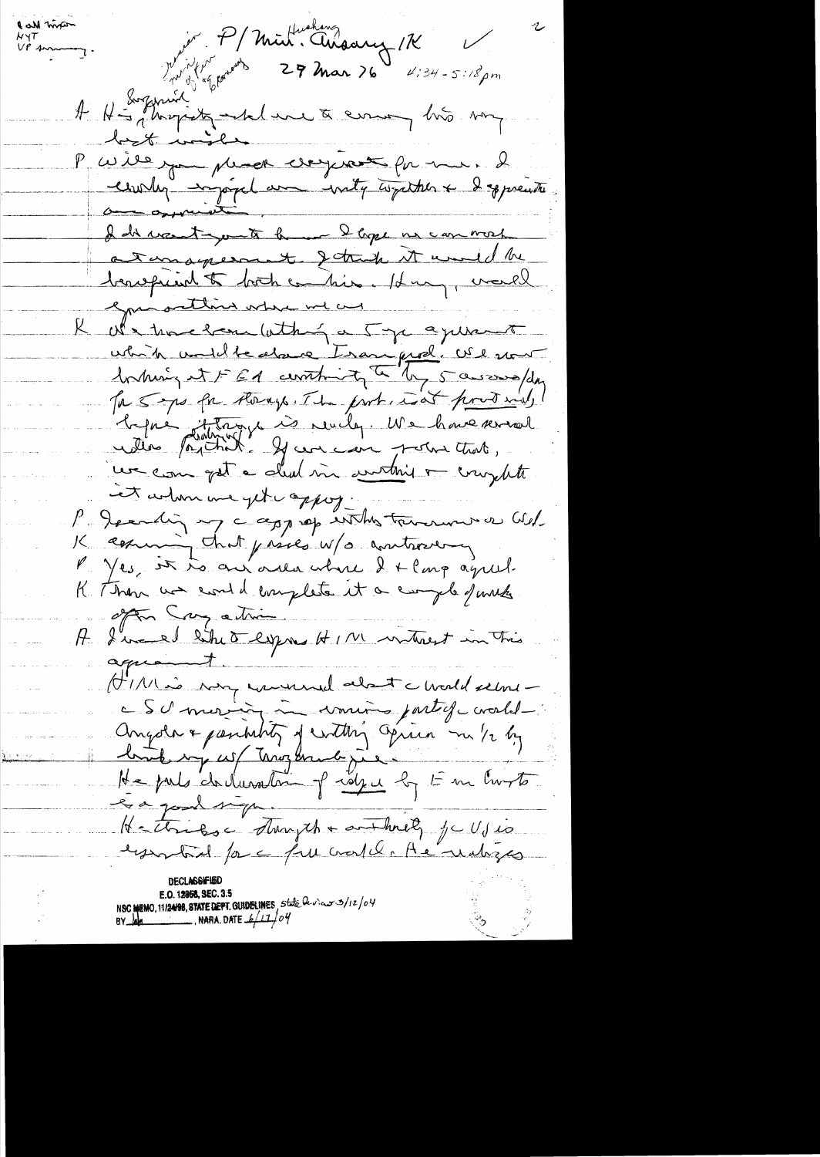Julien P/Mint. Anaary 1K Call mose A H-Suzaniel de me to ensuit mon but injee P cerite pour plus comprant par mer. 2 I discred you to be no I tope us can most a temages and study it would be beaugued to both combine. Hun, would grassetting where we are R we there have with ga 5 ye a june to which undlledgere Isan fiel . We sont Intuiry it FEA contrity to by 5 assossofday Ta 5 mps for therage. The part, isat produced, bapie dittage à revelop. Me have reveal un com gat a clud me continue ou complete et administrappoj. P. Jeanding my c approp in this tremenous as Wed. K comming that prices w/o controvery P. Yes, it is an area where I + Cong agreed. K Then we could emplete it a comple function often Cry ation I well site of express HIM without in This aguent. (MI) is very commental about a world seems c Schmarin in vouis partiquarale Angola & partition of within again m 1/2 by<br>he forts do duration of rayer by Em Curts Hattriboc Thursch + and held, je Ujio E.O. 12958, SEC. 3.5<br>NSC MEMO, 11/2498, STATE DEPT. GUIDELINES, State bevious 3/12/04<br>BY determines NARA. DATE  $4/17/04$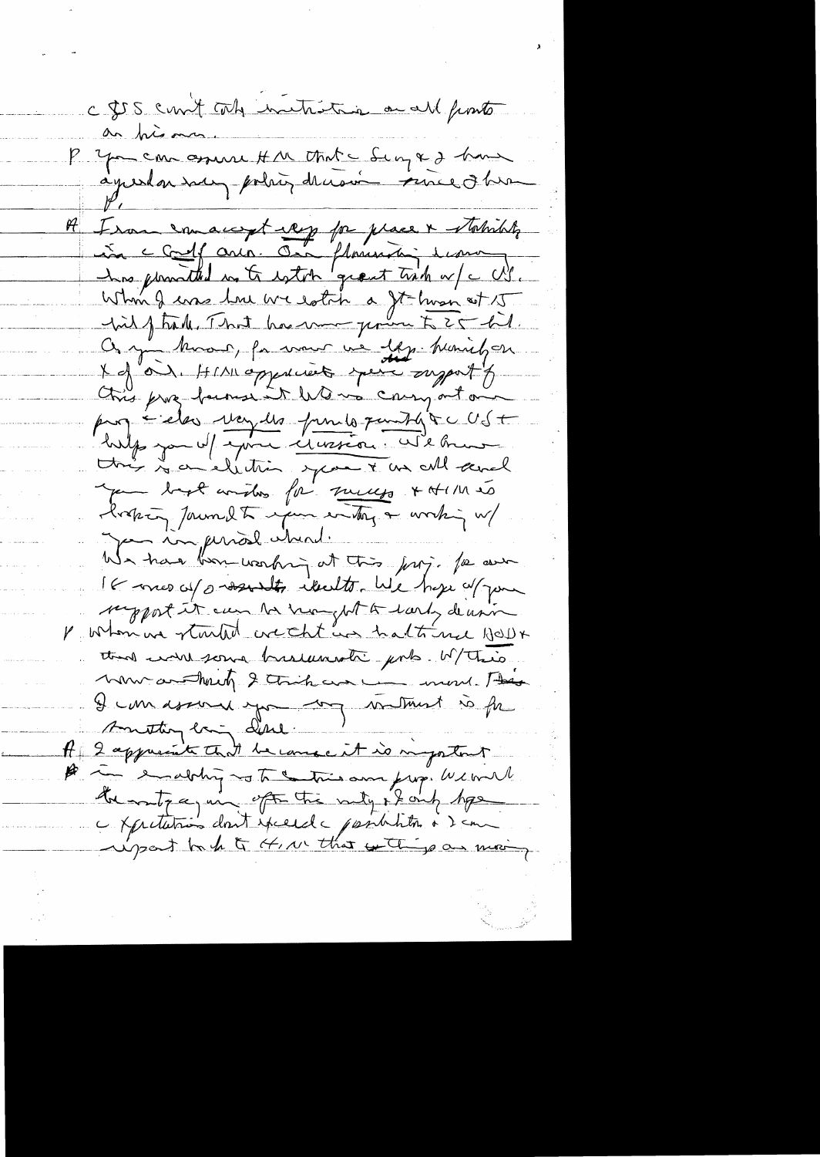c \$55 cm t cole initiative a all fints an prisonno. P you can assure H M Mate Serges home A Isan en augst rep pa prace & statistik has provided in to estot grant trick w/c US. Whin I am true we estate a It huse at 15 On you known, for mour us les heriels en X of "OU, HIAI oppdients your support of this proz farmer it Wo was conny out our pagédes voyes pour pourtique US+ hilp you of your creation. We brune this is a celebration space & as all and pour bapt considers for success & A114 to latin Jaundt upur entry a working w/ pa in prior had. We have been working at this jury. The aver It were up someth iterated by hope of your support it can be hanglet to larly de univer V whom we started we that was halte me HOD+ that went some businesste pob. W/This. mon anothering 2 this was more than I can donne you me met so fr Amstinglang dill A 2 appreciate that be cause it is important A im enabling no to a tries and from We will the moty again of the nety if only type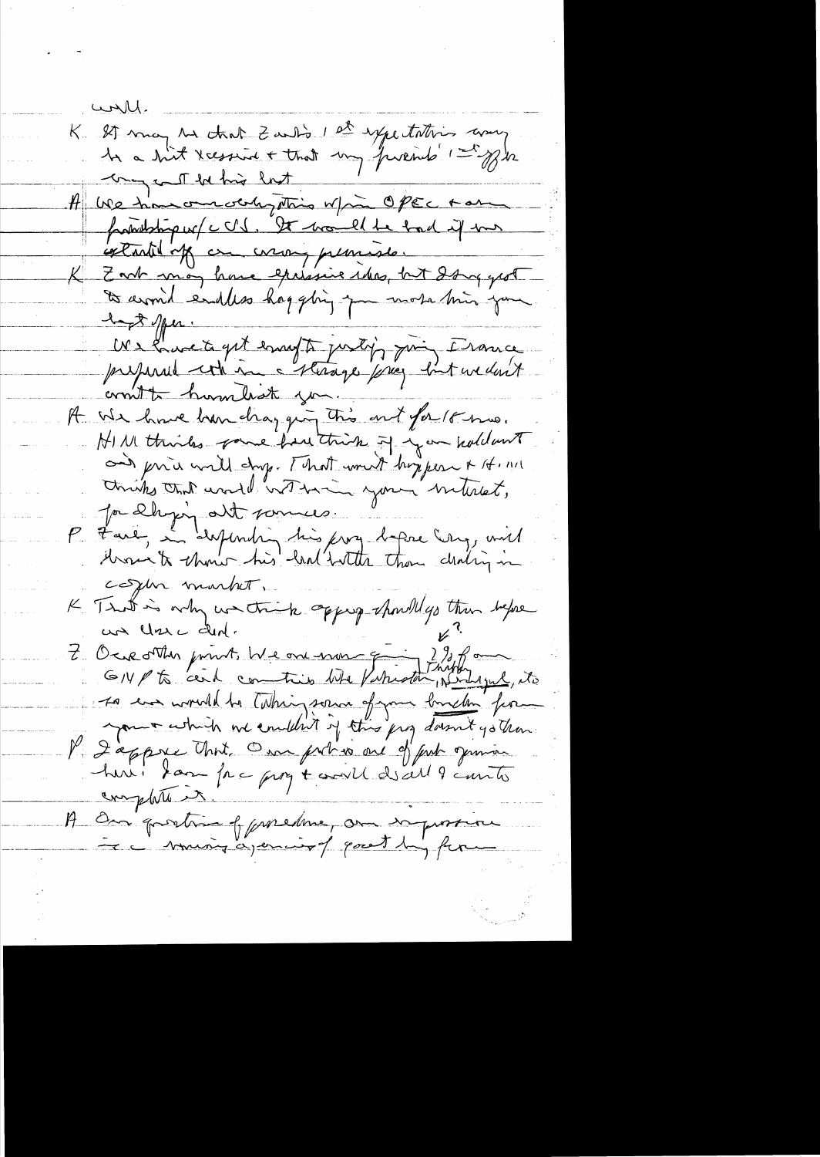<u>would.</u> K 27 may 12 that Zant's 1 et expectation avec my call be his last A We have one ochy string w/m OPEC take frankling w/c US. It would be took if me extantil off on corony planesse. K Zort man houe epissive idea, bit dans grot to aromid endless happing you work him you 1- A 1pm. We have to get empt justif justif de la Crouce commit humbrat you. A We have han changing this out for 18 mm. HIM thinks power have think of you hold out and prive will dry. [ hat would hopper & H. MI thinks that would with your interest, Ja Dhyin att sommes. P Faie, la despending his jury bapie Erry, will cosphe market. K Trut is why we trick approp showll go than before un Une dent. L'Ociet Min point, We one non qui 2% form GIVP to cent contrib Who Parath perhaps its so un would be taking some of your briden for your which we couldn't of this prof down t yo than. l'Iappre Unit, On priso au 9 prit genrie complete it. A One prosting of proclame, on infrance musing a permiss of good by form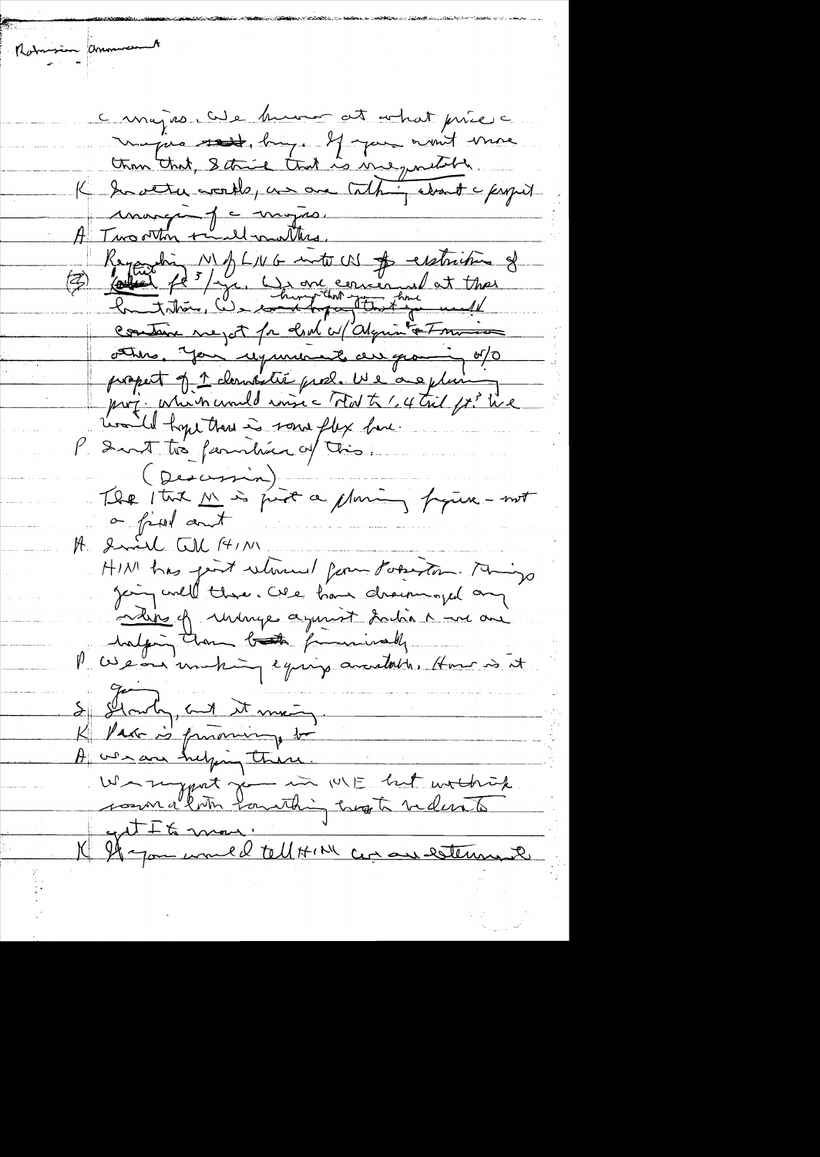a major cite human at a hat price à majore rest, big. If you won't wante than that, I think that is me quilible. K Inverter works, an one talking about a finger marque je mojas. A Two other tend mutters. Regarding NBLNG into CN & extriting of Containe megot for client confident at minim other, you requirement au grand of propert of 1 denotie pro2. We are plain prof. Which would insic That to 1,4 tril ft. We Loadel hope than is some flex have. Sunt to familiar of this. (Descript) The Ituk M's just a planing figure-mot a fixed and A Smil CU AIN HINI has good which for Poseston. Any Jeing will thre. We have drowninged any a dit of uninge agencyt faction a me and halping than both forminally Me cise our motion equip available. Home is it S Stanly, and it men A we are helping there. Warryport je in WE het withink get It & mon. K If you would tell HIM an are esternant

Rotomsin amouncement